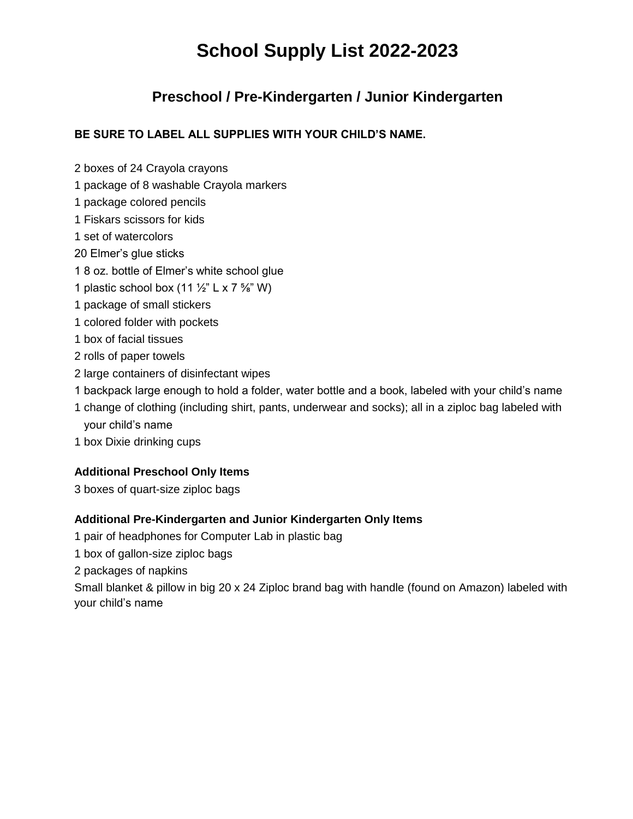# **School Supply List 2022-2023**

### **Preschool / Pre-Kindergarten / Junior Kindergarten**

#### **BE SURE TO LABEL ALL SUPPLIES WITH YOUR CHILD'S NAME.**

- 2 boxes of 24 Crayola crayons
- 1 package of 8 washable Crayola markers
- 1 package colored pencils
- 1 Fiskars scissors for kids
- 1 set of watercolors
- 20 Elmer's glue sticks
- 1 8 oz. bottle of Elmer's white school glue
- 1 plastic school box  $(11 \frac{1}{2}$ " L x 7  $\frac{5}{8}$ " W)
- 1 package of small stickers
- 1 colored folder with pockets
- 1 box of facial tissues
- 2 rolls of paper towels
- 2 large containers of disinfectant wipes
- 1 backpack large enough to hold a folder, water bottle and a book, labeled with your child's name
- 1 change of clothing (including shirt, pants, underwear and socks); all in a ziploc bag labeled with your child's name
- 1 box Dixie drinking cups

### **Additional Preschool Only Items**

3 boxes of quart-size ziploc bags

### **Additional Pre-Kindergarten and Junior Kindergarten Only Items**

- 1 pair of headphones for Computer Lab in plastic bag
- 1 box of gallon-size ziploc bags
- 2 packages of napkins

Small blanket & pillow in big 20 x 24 Ziploc brand bag with handle (found on Amazon) labeled with your child's name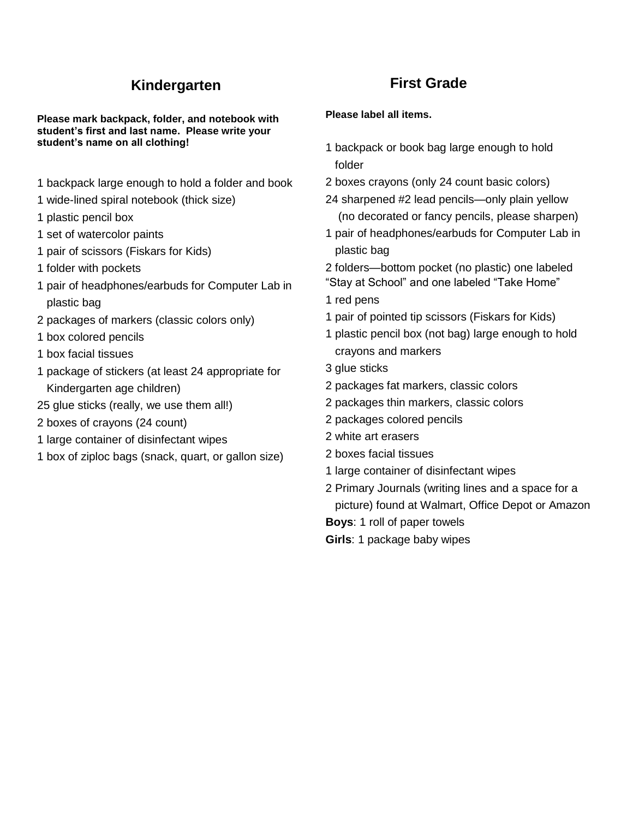# **Kindergarten**

**Please mark backpack, folder, and notebook with student's first and last name. Please write your student's name on all clothing!**

- 1 backpack large enough to hold a folder and book
- 1 wide-lined spiral notebook (thick size)
- 1 plastic pencil box
- 1 set of watercolor paints
- 1 pair of scissors (Fiskars for Kids)
- 1 folder with pockets
- 1 pair of headphones/earbuds for Computer Lab in plastic bag
- 2 packages of markers (classic colors only)
- 1 box colored pencils
- 1 box facial tissues
- 1 package of stickers (at least 24 appropriate for Kindergarten age children)
- 25 glue sticks (really, we use them all!)
- 2 boxes of crayons (24 count)
- 1 large container of disinfectant wipes
- 1 box of ziploc bags (snack, quart, or gallon size)

### **First Grade**

#### **Please label all items.**

- 1 backpack or book bag large enough to hold folder
- 2 boxes crayons (only 24 count basic colors)
- 24 sharpened #2 lead pencils—only plain yellow (no decorated or fancy pencils, please sharpen)
- 1 pair of headphones/earbuds for Computer Lab in plastic bag
- 2 folders—bottom pocket (no plastic) one labeled "Stay at School" and one labeled "Take Home"
- 1 red pens
- 1 pair of pointed tip scissors (Fiskars for Kids)
- 1 plastic pencil box (not bag) large enough to hold crayons and markers
- 3 glue sticks
- 2 packages fat markers, classic colors
- 2 packages thin markers, classic colors
- 2 packages colored pencils
- 2 white art erasers
- 2 boxes facial tissues
- 1 large container of disinfectant wipes
- 2 Primary Journals (writing lines and a space for a picture) found at Walmart, Office Depot or Amazon
- **Boys**: 1 roll of paper towels
- **Girls**: 1 package baby wipes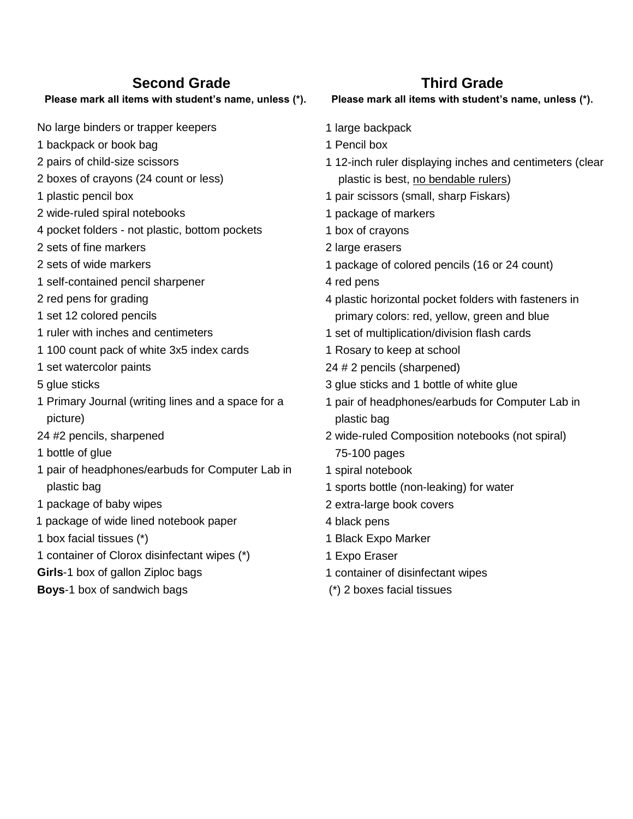### **Second Grade**

#### **Please mark all items with student's name, unless (\*).**

No large binders or trapper keepers

- 1 backpack or book bag
- 2 pairs of child-size scissors
- 2 boxes of crayons (24 count or less)
- 1 plastic pencil box
- 2 wide-ruled spiral notebooks
- 4 pocket folders not plastic, bottom pockets
- 2 sets of fine markers
- 2 sets of wide markers
- 1 self-contained pencil sharpener
- 2 red pens for grading
- 1 set 12 colored pencils
- 1 ruler with inches and centimeters
- 1 100 count pack of white 3x5 index cards
- 1 set watercolor paints
- 5 glue sticks
- 1 Primary Journal (writing lines and a space for a picture)
- 24 #2 pencils, sharpened
- 1 bottle of glue
- 1 pair of headphones/earbuds for Computer Lab in plastic bag
- 1 package of baby wipes
- 1 package of wide lined notebook paper
- 1 box facial tissues (\*)
- 1 container of Clorox disinfectant wipes (\*)
- **Girls**-1 box of gallon Ziploc bags
- **Boys**-1 box of sandwich bags

### **Third Grade**

#### **Please mark all items with student's name, unless (\*).**

- 1 large backpack
- 1 Pencil box
- 1 12-inch ruler displaying inches and centimeters (clear plastic is best, no bendable rulers)
- 1 pair scissors (small, sharp Fiskars)
- 1 package of markers
- 1 box of crayons
- 2 large erasers
- 1 package of colored pencils (16 or 24 count)
- 4 red pens
- 4 plastic horizontal pocket folders with fasteners in primary colors: red, yellow, green and blue
- 1 set of multiplication/division flash cards
- 1 Rosary to keep at school
- 24 # 2 pencils (sharpened)
- 3 glue sticks and 1 bottle of white glue
- 1 pair of headphones/earbuds for Computer Lab in plastic bag
- 2 wide-ruled Composition notebooks (not spiral) 75-100 pages
- 1 spiral notebook
- 1 sports bottle (non-leaking) for water
- 2 extra-large book covers
- 4 black pens
- 1 Black Expo Marker
- 1 Expo Eraser
- 1 container of disinfectant wipes
- (\*) 2 boxes facial tissues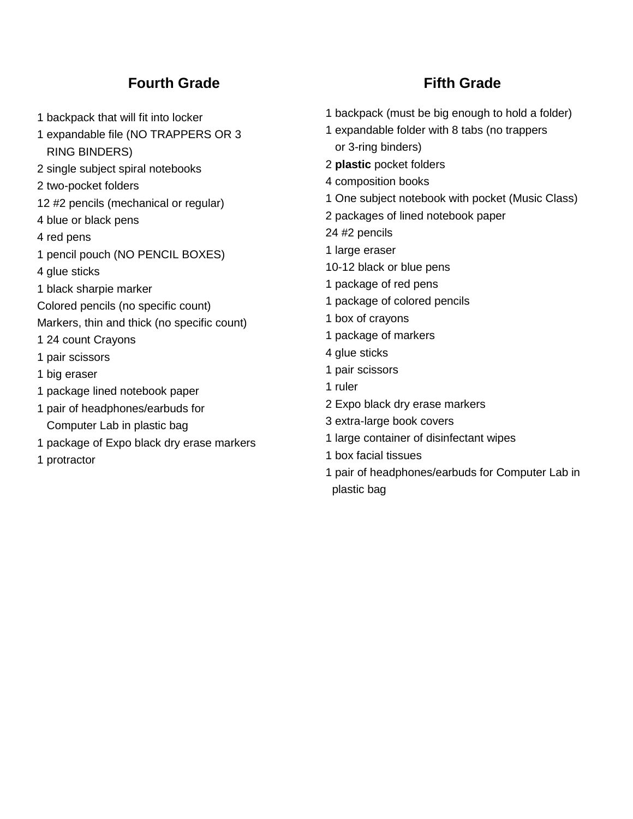### **Fourth Grade**

- 1 backpack that will fit into locker
- 1 expandable file (NO TRAPPERS OR 3 RING BINDERS)
- 2 single subject spiral notebooks
- 2 two-pocket folders
- 12 #2 pencils (mechanical or regular)
- 4 blue or black pens
- 4 red pens
- 1 pencil pouch (NO PENCIL BOXES)
- 4 glue sticks
- 1 black sharpie marker
- Colored pencils (no specific count)
- Markers, thin and thick (no specific count)
- 1 24 count Crayons
- 1 pair scissors
- 1 big eraser
- 1 package lined notebook paper
- 1 pair of headphones/earbuds for Computer Lab in plastic bag
- 1 package of Expo black dry erase markers
- 1 protractor

## **Fifth Grade**

- 1 backpack (must be big enough to hold a folder)
- 1 expandable folder with 8 tabs (no trappers or 3-ring binders)
- 2 **plastic** pocket folders
- 4 composition books
- 1 One subject notebook with pocket (Music Class)
- 2 packages of lined notebook paper
- 24 #2 pencils
- 1 large eraser
- 10-12 black or blue pens
- 1 package of red pens
- 1 package of colored pencils
- 1 box of crayons
- 1 package of markers
- 4 glue sticks
- 1 pair scissors
- 1 ruler
- 2 Expo black dry erase markers
- 3 extra-large book covers
- 1 large container of disinfectant wipes
- 1 box facial tissues
- 1 pair of headphones/earbuds for Computer Lab in plastic bag